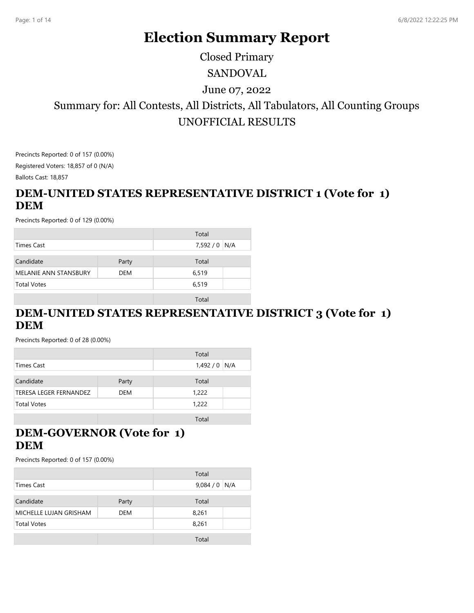# **Election Summary Report**

# SANDOVAL Summary for: All Contests, All Districts, All Tabulators, All Counting Groups UNOFFICIAL RESULTS June 07, 2022 Closed Primary

Precincts Reported: 0 of 157 (0.00%) Registered Voters: 18,857 of 0 (N/A) Ballots Cast: 18,857

## **DEM-UNITED STATES REPRESENTATIVE DISTRICT 1 (Vote for 1) DEM**

Precincts Reported: 0 of 129 (0.00%)

|                              |            | Total         |  |
|------------------------------|------------|---------------|--|
| Times Cast                   |            | 7,592 / 0 N/A |  |
|                              |            |               |  |
| Candidate                    | Party      | Total         |  |
| <b>MELANIE ANN STANSBURY</b> | <b>DEM</b> | 6,519         |  |
| <b>Total Votes</b>           |            | 6,519         |  |
|                              |            |               |  |
|                              |            | Total         |  |

## **DEM-UNITED STATES REPRESENTATIVE DISTRICT 3 (Vote for 1) DEM**

Precincts Reported: 0 of 28 (0.00%)

|                               |            | Total         |  |
|-------------------------------|------------|---------------|--|
| Times Cast                    |            | $1,492/0$ N/A |  |
| Candidate                     | Party      | Total         |  |
| <b>TERESA LEGER FERNANDEZ</b> | <b>DEM</b> | 1,222         |  |
| <b>Total Votes</b>            |            | 1,222         |  |
|                               |            | Total         |  |

## **DEM-GOVERNOR (Vote for 1) DEM**

|                        |       | Total         |  |
|------------------------|-------|---------------|--|
| Times Cast             |       | $9,084/0$ N/A |  |
|                        |       |               |  |
| Candidate              | Party | Total         |  |
| MICHELLE LUJAN GRISHAM | DEM   | 8,261         |  |
| <b>Total Votes</b>     |       | 8,261         |  |
|                        |       |               |  |
|                        |       | Total         |  |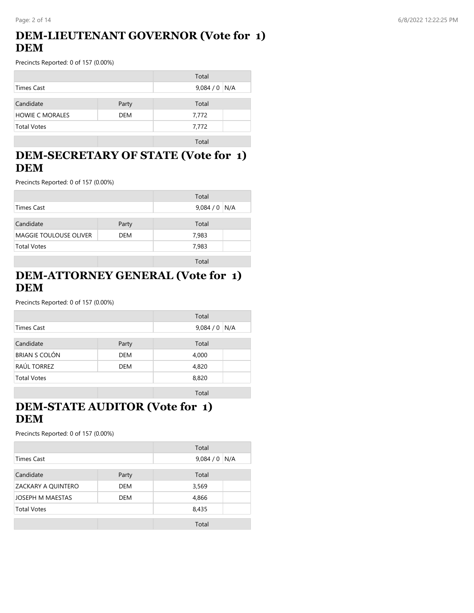#### Page: 2 of 14 6/8/2022 12:22:25 PM

## **DEM-LIEUTENANT GOVERNOR (Vote for 1) DEM**

Precincts Reported: 0 of 157 (0.00%)

|                        |            | Total         |  |
|------------------------|------------|---------------|--|
| Times Cast             |            | $9,084/0$ N/A |  |
| Candidate              | Party      | Total         |  |
| <b>HOWIE C MORALES</b> | <b>DEM</b> | 7,772         |  |
| <b>Total Votes</b>     |            | 7,772         |  |
|                        |            | Total         |  |

## **DEM-SECRETARY OF STATE (Vote for 1) DEM**

Precincts Reported: 0 of 157 (0.00%)

|                               |            | Total         |
|-------------------------------|------------|---------------|
| Times Cast                    |            | $9,084/0$ N/A |
| Candidate                     | Party      | Total         |
| <b>MAGGIE TOULOUSE OLIVER</b> | <b>DEM</b> | 7,983         |
| <b>Total Votes</b>            |            | 7,983         |
|                               |            | Total         |

#### **DEM-ATTORNEY GENERAL (Vote for 1) DEM**

Precincts Reported: 0 of 157 (0.00%)

|                      |            | Total         |  |
|----------------------|------------|---------------|--|
| Times Cast           |            | $9,084/0$ N/A |  |
|                      |            |               |  |
| Candidate            | Party      | Total         |  |
| <b>BRIAN S COLÓN</b> | <b>DEM</b> | 4,000         |  |
| <b>RAÚL TORREZ</b>   | <b>DEM</b> | 4,820         |  |
| <b>Total Votes</b>   |            | 8,820         |  |
|                      |            |               |  |
|                      |            | Total         |  |

## **DEM-STATE AUDITOR (Vote for 1) DEM**

|                    |            | Total   |     |
|--------------------|------------|---------|-----|
| <b>Times Cast</b>  |            | 9,084/0 | N/A |
|                    |            |         |     |
| Candidate          | Party      | Total   |     |
| ZACKARY A QUINTERO | DEM        | 3,569   |     |
| JOSEPH M MAESTAS   | <b>DEM</b> | 4,866   |     |
| <b>Total Votes</b> |            | 8,435   |     |
|                    |            |         |     |
|                    |            | Total   |     |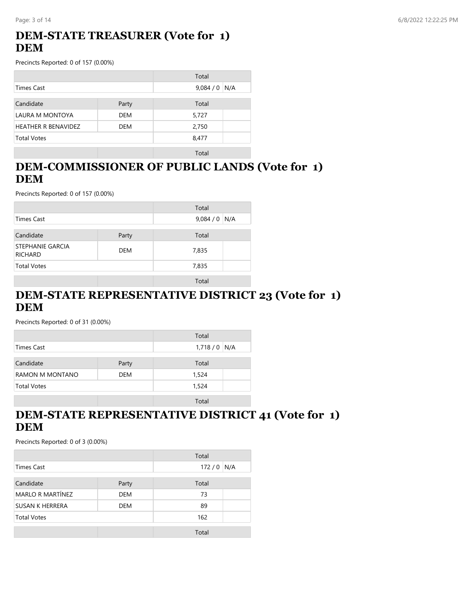#### Page: 3 of 14 6/8/2022 12:22:25 PM

## **DEM-STATE TREASURER (Vote for 1) DEM**

Precincts Reported: 0 of 157 (0.00%)

|                            |            | Total         |
|----------------------------|------------|---------------|
| Times Cast                 |            | $9,084/0$ N/A |
|                            |            |               |
| Candidate                  | Party      | Total         |
| LAURA M MONTOYA            | <b>DEM</b> | 5,727         |
| <b>HEATHER R BENAVIDEZ</b> | DEM        | 2,750         |
| <b>Total Votes</b>         |            | 8,477         |
|                            |            |               |

Total

## **DEM-COMMISSIONER OF PUBLIC LANDS (Vote for 1) DEM**

Precincts Reported: 0 of 157 (0.00%)

|                                           |       | Total         |  |
|-------------------------------------------|-------|---------------|--|
| Times Cast                                |       | $9,084/0$ N/A |  |
|                                           |       |               |  |
| Candidate                                 | Party | Total         |  |
| <b>STEPHANIE GARCIA</b><br><b>RICHARD</b> | DEM   | 7,835         |  |
| <b>Total Votes</b>                        |       | 7,835         |  |
|                                           |       |               |  |

Total

## **DEM-STATE REPRESENTATIVE DISTRICT 23 (Vote for 1) DEM**

Precincts Reported: 0 of 31 (0.00%)

|                    |       | Total         |
|--------------------|-------|---------------|
| Times Cast         |       | $1,718/0$ N/A |
|                    |       |               |
| Candidate          | Party | Total         |
| RAMON M MONTANO    | DEM   | 1,524         |
| <b>Total Votes</b> |       | 1,524         |
|                    |       |               |
|                    |       | Total         |

## **DEM-STATE REPRESENTATIVE DISTRICT 41 (Vote for 1) DEM**

|                         |            | Total        |  |
|-------------------------|------------|--------------|--|
| Times Cast              |            | 172/0<br>N/A |  |
| Candidate               | Party      | Total        |  |
| <b>MARLO R MARTÍNEZ</b> | <b>DEM</b> | 73           |  |
| <b>SUSAN K HERRERA</b>  | <b>DEM</b> | 89           |  |
| <b>Total Votes</b>      |            | 162          |  |
|                         |            | Total        |  |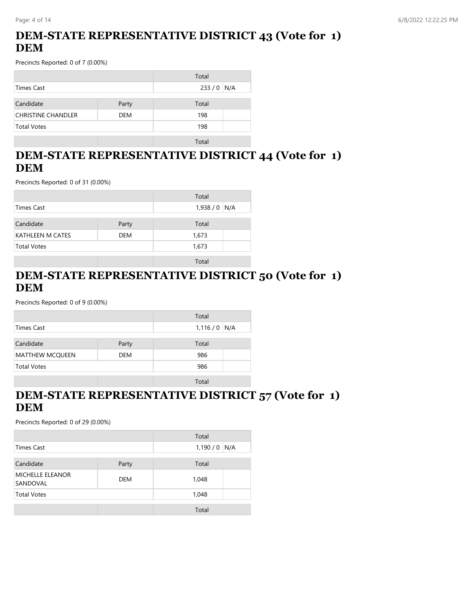## **DEM-STATE REPRESENTATIVE DISTRICT 43 (Vote for 1) DEM**

Precincts Reported: 0 of 7 (0.00%)

|                           |            | Total        |  |
|---------------------------|------------|--------------|--|
| Times Cast                |            | 233/0<br>N/A |  |
|                           |            |              |  |
| Candidate                 | Party      | Total        |  |
| <b>CHRISTINE CHANDLER</b> | <b>DEM</b> | 198          |  |
| <b>Total Votes</b>        |            | 198          |  |
|                           |            |              |  |
|                           |            | Total        |  |

#### **DEM-STATE REPRESENTATIVE DISTRICT 44 (Vote for 1) DEM**

Precincts Reported: 0 of 31 (0.00%)

|                                       |       | Total         |
|---------------------------------------|-------|---------------|
| Times Cast                            |       | $1,938/0$ N/A |
| Candidate                             | Party | Total         |
| <b>KATHLEEN M CATES</b><br><b>DEM</b> |       | 1,673         |
| <b>Total Votes</b>                    |       | 1,673         |
|                                       |       | Total         |

## **DEM-STATE REPRESENTATIVE DISTRICT 50 (Vote for 1) DEM**

Precincts Reported: 0 of 9 (0.00%)

|                        |            | Total         |
|------------------------|------------|---------------|
| Times Cast             |            | $1,116/0$ N/A |
|                        |            |               |
| Candidate              | Party      | Total         |
| <b>MATTHEW MCQUEEN</b> | <b>DEM</b> | 986           |
| <b>Total Votes</b>     |            | 986           |
|                        |            |               |
|                        |            | Total         |

#### **DEM-STATE REPRESENTATIVE DISTRICT 57 (Vote for 1) DEM**

|                                     |       | Total         |  |
|-------------------------------------|-------|---------------|--|
| Times Cast                          |       | $1,190/0$ N/A |  |
| Candidate                           | Party | Total         |  |
| <b>MICHELLE ELEANOR</b><br>SANDOVAL | DEM   | 1,048         |  |
| <b>Total Votes</b>                  |       | 1,048         |  |
|                                     |       | Total         |  |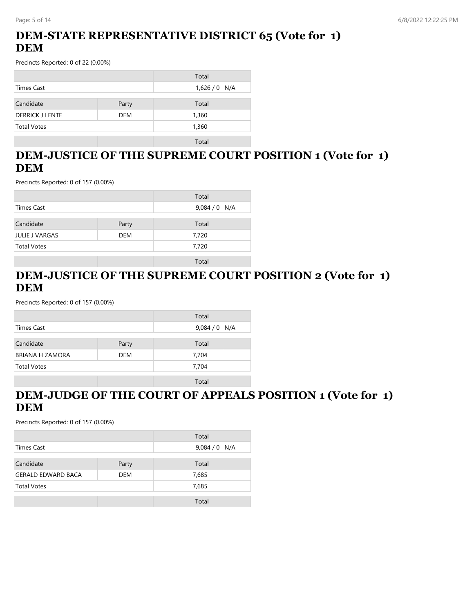## **DEM-STATE REPRESENTATIVE DISTRICT 65 (Vote for 1) DEM**

Precincts Reported: 0 of 22 (0.00%)

|                        |            | Total         |
|------------------------|------------|---------------|
| Times Cast             |            | $1,626/0$ N/A |
|                        |            |               |
| Candidate              | Party      | Total         |
| <b>DERRICK J LENTE</b> | <b>DEM</b> | 1,360         |
| <b>Total Votes</b>     |            | 1,360         |
|                        |            |               |
|                        |            | Total         |

## **DEM-JUSTICE OF THE SUPREME COURT POSITION 1 (Vote for 1) DEM**

Precincts Reported: 0 of 157 (0.00%)

|                    |            | Total         |
|--------------------|------------|---------------|
| Times Cast         |            | 9,084 / 0 N/A |
| Candidate          | Party      | Total         |
| JULIE J VARGAS     | <b>DEM</b> | 7,720         |
| <b>Total Votes</b> |            | 7,720         |
|                    |            | Total         |

## **DEM-JUSTICE OF THE SUPREME COURT POSITION 2 (Vote for 1) DEM**

Precincts Reported: 0 of 157 (0.00%)

|                        |            | Total         |
|------------------------|------------|---------------|
| Times Cast             |            | $9,084/0$ N/A |
|                        |            |               |
| Candidate              | Party      | Total         |
| <b>BRIANA H ZAMORA</b> | <b>DEM</b> | 7,704         |
| <b>Total Votes</b>     |            | 7,704         |
|                        |            |               |
|                        |            | Total         |

## **DEM-JUDGE OF THE COURT OF APPEALS POSITION 1 (Vote for 1) DEM**

|                           |            | Total         |
|---------------------------|------------|---------------|
| Times Cast                |            | $9,084/0$ N/A |
|                           |            |               |
| Candidate                 | Party      | Total         |
| <b>GERALD EDWARD BACA</b> | <b>DEM</b> | 7,685         |
| <b>Total Votes</b>        |            | 7,685         |
|                           |            |               |
|                           |            | Total         |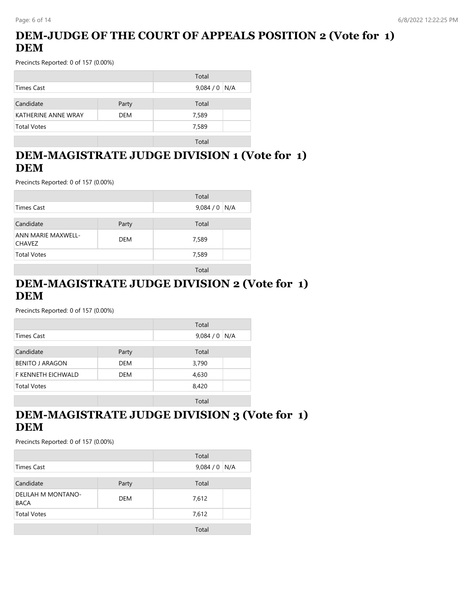## **DEM-JUDGE OF THE COURT OF APPEALS POSITION 2 (Vote for 1) DEM**

Precincts Reported: 0 of 157 (0.00%)

|                            |            | Total         |  |
|----------------------------|------------|---------------|--|
| Times Cast                 |            | $9,084/0$ N/A |  |
|                            |            |               |  |
| Candidate                  | Party      | Total         |  |
| <b>KATHERINE ANNE WRAY</b> | <b>DEM</b> | 7,589         |  |
| <b>Total Votes</b>         |            | 7,589         |  |
|                            |            |               |  |
|                            |            | Total         |  |

#### **DEM-MAGISTRATE JUDGE DIVISION 1 (Vote for 1) DEM**

Precincts Reported: 0 of 157 (0.00%)

|                                                   |  | Total         |
|---------------------------------------------------|--|---------------|
| <b>Times Cast</b>                                 |  | $9,084/0$ N/A |
| Candidate<br>Party                                |  | Total         |
| ANN MARIE MAXWELL-<br><b>DEM</b><br><b>CHAVEZ</b> |  | 7,589         |
| <b>Total Votes</b>                                |  | 7,589         |
|                                                   |  | Total         |

## **DEM-MAGISTRATE JUDGE DIVISION 2 (Vote for 1) DEM**

Precincts Reported: 0 of 157 (0.00%)

|                        |            | Total          |
|------------------------|------------|----------------|
| <b>Times Cast</b>      |            | 9,084/0<br>N/A |
| Candidate              | Party      | Total          |
| <b>BENITO J ARAGON</b> | <b>DEM</b> | 3,790          |
| F KENNETH EICHWALD     | DEM        | 4,630          |
| <b>Total Votes</b>     |            | 8,420          |
|                        |            | Total          |

#### **DEM-MAGISTRATE JUDGE DIVISION 3 (Vote for 1) DEM**

|                                                 |       | Total         |  |
|-------------------------------------------------|-------|---------------|--|
| Times Cast                                      |       | $9,084/0$ N/A |  |
| Candidate                                       | Party | Total         |  |
| DELILAH M MONTANO-<br><b>DEM</b><br><b>BACA</b> |       | 7,612         |  |
| <b>Total Votes</b>                              |       | 7,612         |  |
|                                                 |       | Total         |  |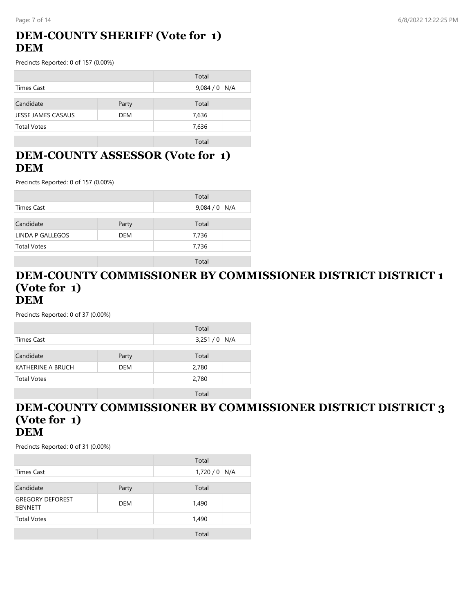## **DEM-COUNTY SHERIFF (Vote for 1) DEM**

Precincts Reported: 0 of 157 (0.00%)

|                                  |  | Total         |
|----------------------------------|--|---------------|
| Times Cast                       |  | $9,084/0$ N/A |
| Candidate<br>Party               |  | Total         |
| JESSE JAMES CASAUS<br><b>DEM</b> |  | 7,636         |
| <b>Total Votes</b>               |  | 7,636         |
|                                  |  | Total         |

## **DEM-COUNTY ASSESSOR (Vote for 1) DEM**

Precincts Reported: 0 of 157 (0.00%)

|                         |            | Total         |
|-------------------------|------------|---------------|
| Times Cast              |            | $9,084/0$ N/A |
| Candidate               | Party      | Total         |
| <b>LINDA P GALLEGOS</b> | <b>DEM</b> | 7,736         |
| <b>Total Votes</b>      |            | 7,736         |
|                         |            | Total         |

#### **DEM-COUNTY COMMISSIONER BY COMMISSIONER DISTRICT DISTRICT 1 (Vote for 1) DEM**

Precincts Reported: 0 of 37 (0.00%)

|                    |            | Total         |  |
|--------------------|------------|---------------|--|
| Times Cast         |            | $3,251/0$ N/A |  |
|                    |            |               |  |
| Candidate          | Party      | Total         |  |
| KATHERINE A BRUCH  | <b>DEM</b> | 2,780         |  |
| <b>Total Votes</b> |            | 2,780         |  |
|                    |            |               |  |
|                    |            | Total         |  |

#### **DEM-COUNTY COMMISSIONER BY COMMISSIONER DISTRICT DISTRICT 3 (Vote for 1) DEM**

|                                           |            | Total         |  |
|-------------------------------------------|------------|---------------|--|
| Times Cast                                |            | $1,720/0$ N/A |  |
| Candidate                                 | Party      | Total         |  |
| <b>GREGORY DEFOREST</b><br><b>BENNETT</b> | <b>DEM</b> | 1,490         |  |
| <b>Total Votes</b>                        |            | 1,490         |  |
|                                           |            | Total         |  |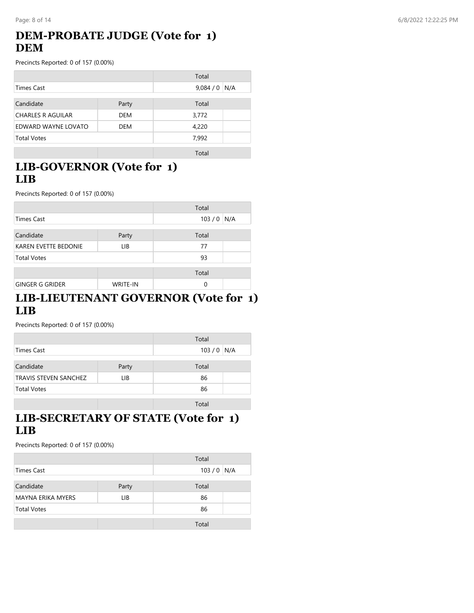#### Page: 8 of 14 6/8/2022 12:22:25 PM

## **DEM-PROBATE JUDGE (Vote for 1) DEM**

Precincts Reported: 0 of 157 (0.00%)

|                          |            | Total   |     |
|--------------------------|------------|---------|-----|
| <b>Times Cast</b>        |            | 9,084/0 | N/A |
|                          |            |         |     |
| Candidate                | Party      | Total   |     |
| <b>CHARLES R AGUILAR</b> | <b>DEM</b> | 3,772   |     |
| EDWARD WAYNE LOVATO      | <b>DEM</b> | 4,220   |     |
| <b>Total Votes</b>       |            | 7,992   |     |
|                          |            | Total   |     |

**LIB-GOVERNOR (Vote for 1) LIB**

Precincts Reported: 0 of 157 (0.00%)

|                             |                 | Total |     |
|-----------------------------|-----------------|-------|-----|
| <b>Times Cast</b>           |                 | 103/0 | N/A |
| Candidate                   | Party           | Total |     |
| <b>KAREN EVETTE BEDONIE</b> | LIB.            | 77    |     |
| <b>Total Votes</b>          |                 | 93    |     |
|                             |                 | Total |     |
| <b>GINGER G GRIDER</b>      | <b>WRITE-IN</b> | 0     |     |

#### **LIB-LIEUTENANT GOVERNOR (Vote for 1) LIB**

Precincts Reported: 0 of 157 (0.00%)

|                              |       | Total       |  |
|------------------------------|-------|-------------|--|
| Times Cast                   |       | $103/0$ N/A |  |
| Candidate                    | Party | Total       |  |
| <b>TRAVIS STEVEN SANCHEZ</b> | LІВ   | 86          |  |
| <b>Total Votes</b>           |       | 86          |  |
|                              |       | Total       |  |

## **LIB-SECRETARY OF STATE (Vote for 1) LIB**

|                    |       | Total       |  |
|--------------------|-------|-------------|--|
| Times Cast         |       | $103/0$ N/A |  |
|                    |       |             |  |
| Candidate          | Party | Total       |  |
| MAYNA ERIKA MYERS  | LIB   | 86          |  |
| <b>Total Votes</b> |       | 86          |  |
|                    |       | Total       |  |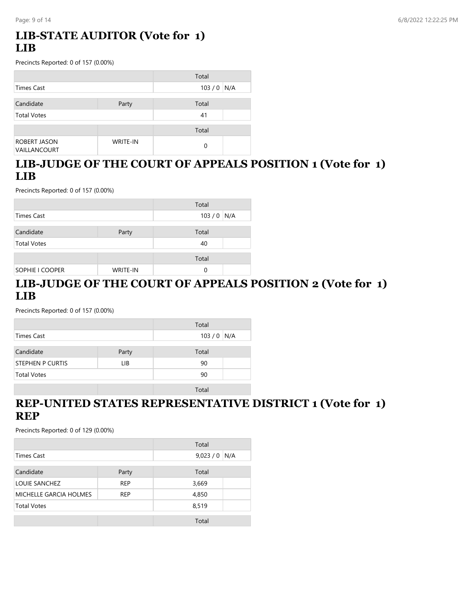## **LIB-STATE AUDITOR (Vote for 1) LIB**

Precincts Reported: 0 of 157 (0.00%)

|                    |                 | Total    |     |
|--------------------|-----------------|----------|-----|
| Times Cast         |                 | 103/0    | N/A |
|                    |                 |          |     |
| Candidate          | Party           | Total    |     |
| <b>Total Votes</b> |                 | 41       |     |
|                    |                 | Total    |     |
|                    |                 |          |     |
| ROBERT JASON       | <b>WRITE-IN</b> | $\Omega$ |     |
| VAILLANCOURT       |                 |          |     |

## **LIB-JUDGE OF THE COURT OF APPEALS POSITION 1 (Vote for 1) LIB**

Precincts Reported: 0 of 157 (0.00%)

|                        |                 | Total       |
|------------------------|-----------------|-------------|
| Times Cast             |                 | $103/0$ N/A |
|                        |                 |             |
| Candidate              | Party           | Total       |
| <b>Total Votes</b>     |                 | 40          |
|                        |                 |             |
|                        |                 | Total       |
| <b>SOPHIE I COOPER</b> | <b>WRITE-IN</b> | 0           |

## **LIB-JUDGE OF THE COURT OF APPEALS POSITION 2 (Vote for 1) LIB**

Precincts Reported: 0 of 157 (0.00%)

|                         |       | Total       |  |
|-------------------------|-------|-------------|--|
| Times Cast              |       | $103/0$ N/A |  |
|                         |       |             |  |
| Candidate               | Party | Total       |  |
| <b>STEPHEN P CURTIS</b> | LIB   | 90          |  |
| <b>Total Votes</b>      |       | 90          |  |
|                         |       |             |  |
|                         |       | Total       |  |

#### **REP-UNITED STATES REPRESENTATIVE DISTRICT 1 (Vote for 1) REP**

|                        |            | Total   |     |
|------------------------|------------|---------|-----|
| <b>Times Cast</b>      |            | 9,023/0 | N/A |
|                        |            |         |     |
| Candidate              | Party      | Total   |     |
| LOUIE SANCHEZ          | <b>REP</b> | 3,669   |     |
| MICHELLE GARCIA HOLMES | <b>REP</b> | 4,850   |     |
| <b>Total Votes</b>     |            | 8,519   |     |
|                        |            | Total   |     |
|                        |            |         |     |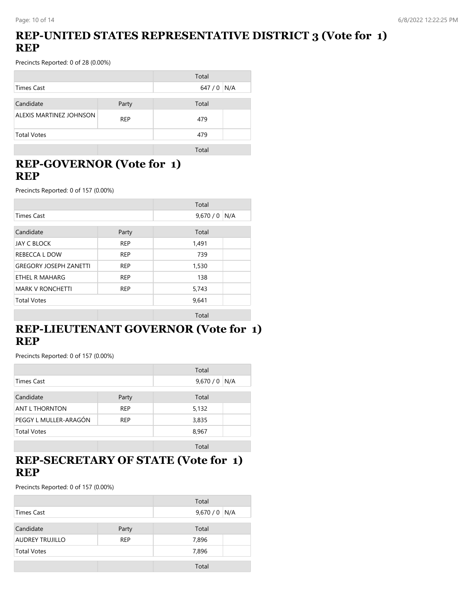## **REP-UNITED STATES REPRESENTATIVE DISTRICT 3 (Vote for 1) REP**

Precincts Reported: 0 of 28 (0.00%)

|                         |            | Total |     |
|-------------------------|------------|-------|-----|
| <b>Times Cast</b>       |            | 647/0 | N/A |
|                         |            |       |     |
| Candidate               | Party      | Total |     |
| ALEXIS MARTINEZ JOHNSON | <b>REP</b> | 479   |     |
| <b>Total Votes</b>      |            | 479   |     |
|                         |            | Total |     |

## **REP-GOVERNOR (Vote for 1) REP**

Precincts Reported: 0 of 157 (0.00%)

|                               |            | Total          |
|-------------------------------|------------|----------------|
| <b>Times Cast</b>             |            | 9,670/0<br>N/A |
| Candidate                     | Party      | Total          |
| <b>JAY C BLOCK</b>            | <b>REP</b> | 1,491          |
| REBECCA L DOW                 | <b>REP</b> | 739            |
| <b>GREGORY JOSEPH ZANETTI</b> | <b>REP</b> | 1,530          |
| ETHEL R MAHARG                | <b>REP</b> | 138            |
| <b>MARK V RONCHETTI</b>       | <b>REP</b> | 5,743          |
| <b>Total Votes</b>            |            | 9,641          |
|                               |            | Total          |

## **REP-LIEUTENANT GOVERNOR (Vote for 1) REP**

Precincts Reported: 0 of 157 (0.00%)

|                       |            | Total   |     |
|-----------------------|------------|---------|-----|
| Times Cast            |            | 9,670/0 | N/A |
| Candidate             | Party      | Total   |     |
| ANT L THORNTON        | <b>REP</b> | 5,132   |     |
| PEGGY L MULLER-ARAGÓN | <b>REP</b> | 3,835   |     |
| <b>Total Votes</b>    |            | 8,967   |     |
|                       |            | Total   |     |

#### **REP-SECRETARY OF STATE (Vote for 1) REP**

|                        |            | Total         |
|------------------------|------------|---------------|
| Times Cast             |            | $9,670/0$ N/A |
|                        |            |               |
| Candidate              | Party      | Total         |
| <b>AUDREY TRUJILLO</b> | <b>REP</b> | 7,896         |
| <b>Total Votes</b>     |            | 7,896         |
|                        |            |               |
|                        |            | Total         |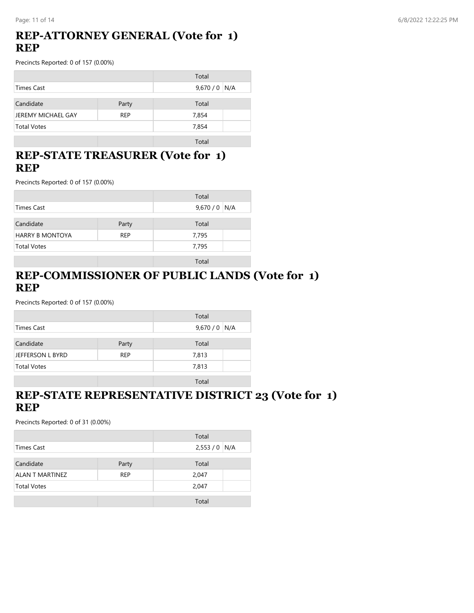#### **REP-ATTORNEY GENERAL (Vote for 1) REP**

Precincts Reported: 0 of 157 (0.00%)

|                    |            | Total         |  |
|--------------------|------------|---------------|--|
| Times Cast         |            | $9,670/0$ N/A |  |
| Candidate          | Party      | Total         |  |
| JEREMY MICHAEL GAY | <b>REP</b> | 7,854         |  |
| <b>Total Votes</b> |            | 7,854         |  |
|                    |            | Total         |  |

#### **REP-STATE TREASURER (Vote for 1) REP**

Precincts Reported: 0 of 157 (0.00%)

|                        |            | Total         |
|------------------------|------------|---------------|
| Times Cast             |            | $9,670/0$ N/A |
| Candidate              | Party      | Total         |
| <b>HARRY B MONTOYA</b> | <b>REP</b> | 7,795         |
| <b>Total Votes</b>     |            | 7,795         |
|                        |            | Total         |

## **REP-COMMISSIONER OF PUBLIC LANDS (Vote for 1) REP**

Precincts Reported: 0 of 157 (0.00%)

|                    |            | Total         |  |
|--------------------|------------|---------------|--|
| Times Cast         |            | $9,670/0$ N/A |  |
|                    |            |               |  |
| Candidate          | Party      | Total         |  |
| JEFFERSON L BYRD   | <b>REP</b> | 7,813         |  |
| <b>Total Votes</b> |            | 7,813         |  |
|                    |            |               |  |
|                    |            | Total         |  |

#### **REP-STATE REPRESENTATIVE DISTRICT 23 (Vote for 1) REP**

|                    |            | Total         |
|--------------------|------------|---------------|
| Times Cast         |            | $2,553/0$ N/A |
|                    |            |               |
| Candidate          | Party      | Total         |
| ALAN T MARTINEZ    | <b>REP</b> | 2,047         |
| <b>Total Votes</b> |            | 2,047         |
|                    |            |               |
|                    |            | Total         |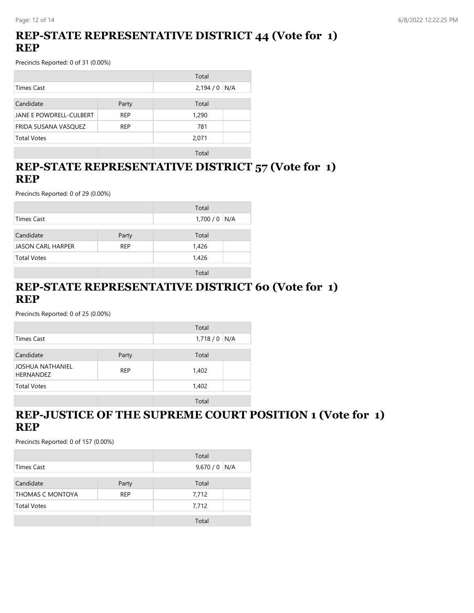## **REP-STATE REPRESENTATIVE DISTRICT 44 (Vote for 1) REP**

Precincts Reported: 0 of 31 (0.00%)

|                         |            | Total         |  |
|-------------------------|------------|---------------|--|
| <b>Times Cast</b>       |            | $2,194/0$ N/A |  |
|                         |            |               |  |
| Candidate               | Party      | Total         |  |
| JANE E POWDRELL-CULBERT | REP        | 1,290         |  |
| FRIDA SUSANA VASQUEZ    | <b>REP</b> | 781           |  |
| <b>Total Votes</b>      |            | 2,071         |  |
|                         |            |               |  |

Total

#### **REP-STATE REPRESENTATIVE DISTRICT 57 (Vote for 1) REP**

Precincts Reported: 0 of 29 (0.00%)

|                    |            | Total         |
|--------------------|------------|---------------|
|                    |            |               |
| Times Cast         |            | $1,700/0$ N/A |
|                    |            |               |
| Candidate          | Party      | Total         |
| JASON CARL HARPER  | <b>REP</b> | 1,426         |
| <b>Total Votes</b> |            | 1,426         |
|                    |            |               |
|                    |            | Total         |

## **REP-STATE REPRESENTATIVE DISTRICT 60 (Vote for 1) REP**

Precincts Reported: 0 of 25 (0.00%)

|                                      |            | Total         |  |
|--------------------------------------|------------|---------------|--|
| Times Cast                           |            | $1,718/0$ N/A |  |
| Candidate                            | Party      | Total         |  |
| JOSHUA NATHANIEL<br><b>HERNANDEZ</b> | <b>REP</b> | 1,402         |  |
| <b>Total Votes</b>                   |            | 1,402         |  |
|                                      |            | Total         |  |

## **REP-JUSTICE OF THE SUPREME COURT POSITION 1 (Vote for 1) REP**

|                         |            | Total         |  |
|-------------------------|------------|---------------|--|
| Times Cast              |            | $9,670/0$ N/A |  |
| Candidate               | Party      | Total         |  |
| <b>THOMAS C MONTOYA</b> | <b>REP</b> | 7,712         |  |
| <b>Total Votes</b>      |            | 7,712         |  |
|                         |            | Total         |  |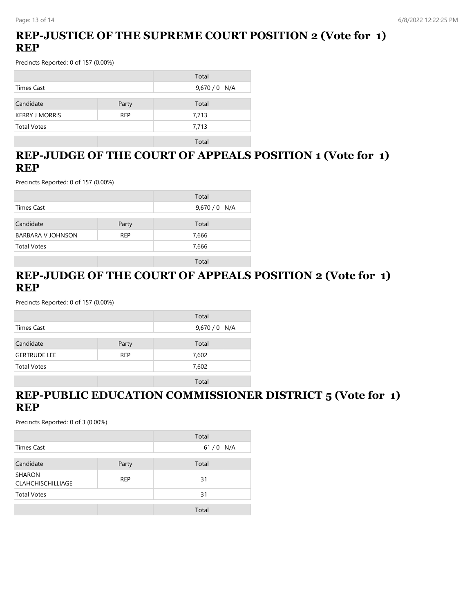## **REP-JUSTICE OF THE SUPREME COURT POSITION 2 (Vote for 1) REP**

Precincts Reported: 0 of 157 (0.00%)

|                       |            | Total         |  |
|-----------------------|------------|---------------|--|
| Times Cast            |            | $9,670/0$ N/A |  |
|                       |            |               |  |
| Candidate             | Party      | Total         |  |
| <b>KERRY J MORRIS</b> | <b>REP</b> | 7,713         |  |
| <b>Total Votes</b>    |            | 7,713         |  |
|                       |            |               |  |
|                       |            | Total         |  |

## **REP-JUDGE OF THE COURT OF APPEALS POSITION 1 (Vote for 1) REP**

Precincts Reported: 0 of 157 (0.00%)

|                          |            | Total         |
|--------------------------|------------|---------------|
| Times Cast               |            | 9,670 / 0 N/A |
| Candidate                | Party      | Total         |
| <b>BARBARA V JOHNSON</b> | <b>REP</b> | 7,666         |
| <b>Total Votes</b>       |            | 7,666         |
|                          |            | Total         |

#### **REP-JUDGE OF THE COURT OF APPEALS POSITION 2 (Vote for 1) REP**

Precincts Reported: 0 of 157 (0.00%)

|                     |            | Total         |
|---------------------|------------|---------------|
| Times Cast          |            | $9,670/0$ N/A |
| Candidate           | Party      | Total         |
| <b>GERTRUDE LEE</b> | <b>REP</b> | 7,602         |
| <b>Total Votes</b>  |            | 7,602         |
|                     |            | Total         |

#### **REP-PUBLIC EDUCATION COMMISSIONER DISTRICT 5 (Vote for 1) REP**

|                                           |            | Total |     |
|-------------------------------------------|------------|-------|-----|
| Times Cast                                |            | 61/0  | N/A |
| Candidate                                 | Party      | Total |     |
| <b>SHARON</b><br><b>CLAHCHISCHILLIAGE</b> | <b>REP</b> | 31    |     |
| <b>Total Votes</b>                        |            | 31    |     |
|                                           |            | Total |     |